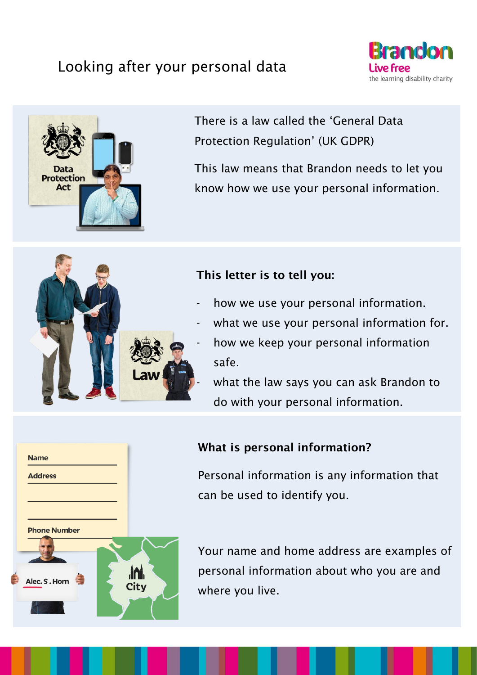## Looking after your personal data





There is a law called the 'General Data Protection Regulation' (UK GDPR)

This law means that Brandon needs to let you know how we use your personal information.



**ini**.

Citv

**Name** 

**Address** 

**Phone Number** 

Alec. S. Horn

#### This letter is to tell you:

- how we use your personal information.
- what we use your personal information for.
- how we keep your personal information safe.
- what the law says you can ask Brandon to do with your personal information.

#### What is personal information?

Personal information is any information that can be used to identify you.

Your name and home address are examples of personal information about who you are and where you live.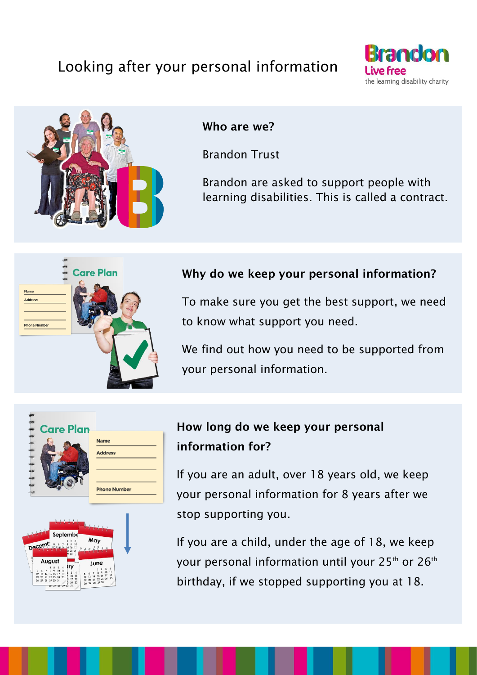# Looking after your personal information





#### Who are we?

Brandon Trust

Brandon are asked to support people with learning disabilities. This is called a contract.



#### Why do we keep your personal information?

To make sure you get the best support, we need to know what support you need.

We find out how you need to be supported from your personal information.





## How long do we keep your personal information for?

If you are an adult, over 18 years old, we keep your personal information for 8 years after we stop supporting you.

If you are a child, under the age of 18, we keep your personal information until your 25<sup>th</sup> or 26<sup>th</sup> birthday, if we stopped supporting you at 18.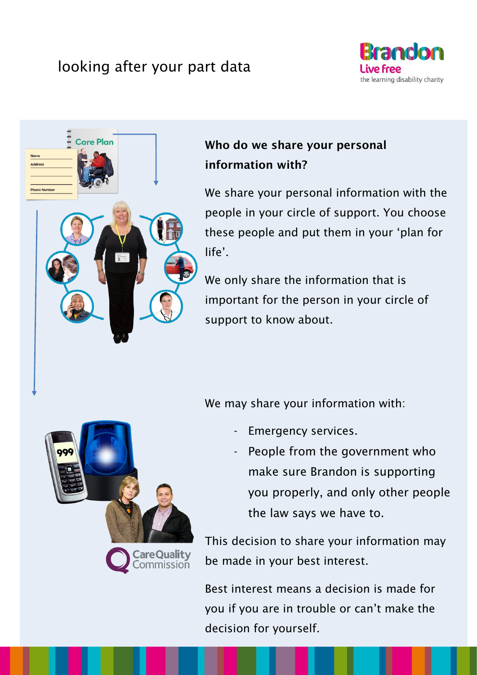# looking after your part data





# Who do we share your personal information with?

We share your personal information with the people in your circle of support. You choose these people and put them in your 'plan for life'.

We only share the information that is important for the person in your circle of support to know about.

We may share your information with:

- Emergency services.
- People from the government who make sure Brandon is supporting you properly, and only other people the law says we have to.

This decision to share your information may be made in your best interest.

Best interest means a decision is made for you if you are in trouble or can't make the decision for yourself.

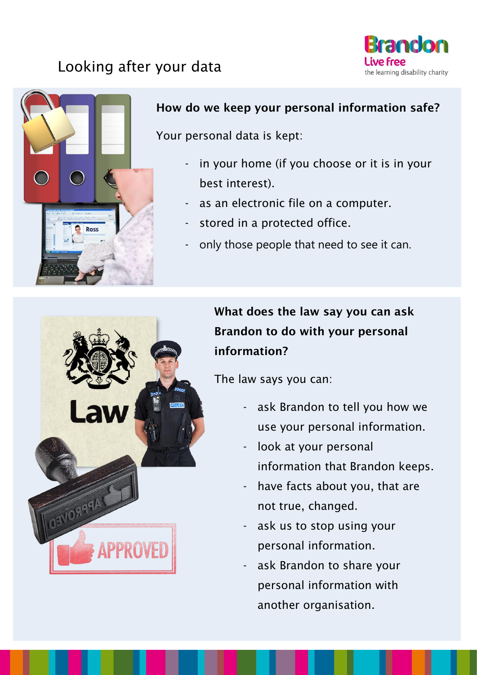# Looking after your data





#### How do we keep your personal information safe?

Your personal data is kept:

- in your home (if you choose or it is in your best interest).
- as an electronic file on a computer.
- stored in a protected office.
- only those people that need to see it can.



The law says you can:

- ask Brandon to tell you how we use your personal information.
- look at your personal information that Brandon keeps.
- have facts about you, that are not true, changed.
- ask us to stop using your personal information.
- ask Brandon to share your personal information with another organisation.